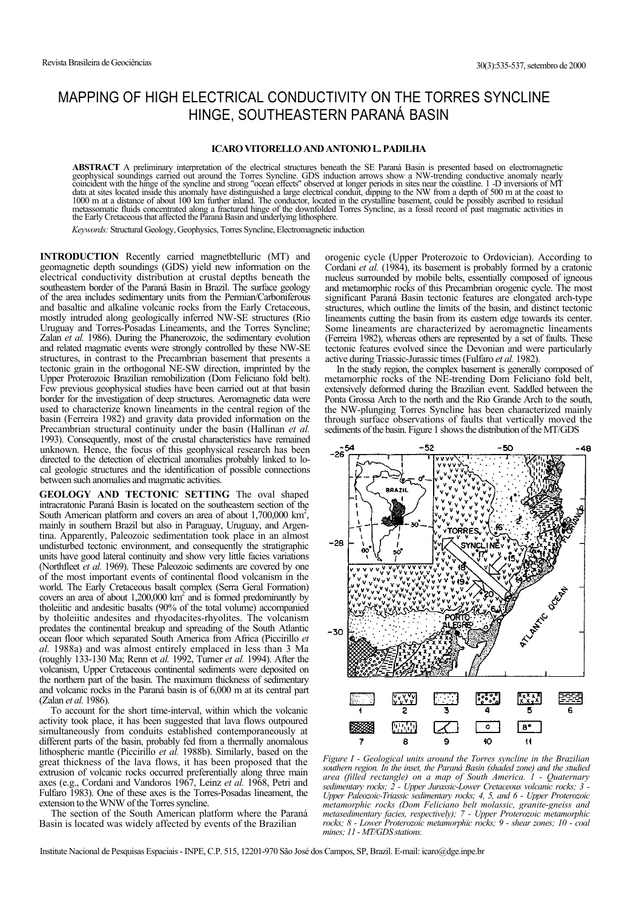## MAPPING OF HIGH ELECTRICAL CONDUCTIVITY ON THE TORRES SYNCLINE HINGE, SOUTHEASTERN PARANÁ BASIN

## **ICARO VITORELLO AND ANTONIO L. PADILHA**

**ABSTRACT** A preliminary interpretation of the electrical structures beneath the SE Paraná Basin is presented based on electromagnetic geophysical soundings carried out around the Torres Syncline. GDS induction arrows show a NW-trending conductive anomaly nearly<br>coincident with the hinge of the syncline and strong "ocean effects" observed at longer period data at sites located inside this anomaly have distinguished a large electrical conduit, dipping to the NW from a depth of 500 m at the coast to 1000 m at a distance of about 100 km further inland. The conductor, located i the Early Cretaceous that affected the Paraná Basin and underlying lithosphere.

*Keywords:* Structural Geology, Geophysics, Torres Syncline, Electromagnetic induction

**INTRODUCTION** Recently carried magnetbtelluric (MT) and geomagnetic depth soundings (GDS) yield new information on the electrical conductivity distribution at crustal depths beneath the southeastern border of the Paraná Basin in Brazil. The surface geology of the area includes sedimentary units from the Permian/Carboniferous and basaltic and alkaline volcanic rocks from the Early Cretaceous, mostly intruded along geologically inferred NW-SE structures (Rio Uruguay and Torres-Posadas Lineaments, and the Torres Syncline; Zalan *et al.* 1986). During the Phanerozoic, the sedimentary evolution and related magmatic events were strongly controlled by these NW-SE structures, in contrast to the Precambrian basement that presents a tectonic grain in the orthogonal NE-SW direction, imprinted by the Upper Proterozoic Brazilian remobilization (Dom Feliciano fold belt). Few previous geophysical studies have been carried out at that basin border for the investigation of deep structures. Aeromagnetic data were used to characterize known lineaments in the central region of the basin (Ferreira 1982) and gravity data provided information on the Precambrian structural continuity under the basin (Hallinan *et al.* 1993). Consequently, most of the crustal characteristics have remained unknown. Hence, the focus of this geophysical research has been directed to the detection of electrical anomalies probably linked to local geologic structures and the identification of possible connections between such anomalies and magmatic activities.

**GEOLOGY AND TECTONIC SETTING** The oval shaped intracratonic Paraná Basin is located on the southeastern section of the South American platform and covers an area of about  $1,700,000 \text{ km}^2$ , mainly in southern Brazil but also in Paraguay, Uruguay, and Argentina. Apparently, Paleozoic sedimentation took place in an almost undisturbed tectonic environment, and consequently the stratigraphic units have good lateral continuity and show very little facies variations (Northfleet *et al.* 1969). These Paleozoic sediments are covered by one of the most important events of continental flood volcanism in the world. The Early Cretaceous basalt complex (Serra Geral Formation) covers an area of about  $1,200,000 \text{ km}^2$  and is formed predominantly by tholeiitic and andesitic basalts (90% of the total volume) accompanied by tholeiitic andesites and rhyodacites-rhyolites. The volcanism predates the continental breakup and spreading of the South Atlantic ocean floor which separated South America from Africa (Piccirillo *et al.* 1988a) and was almost entirely emplaced in less than 3 Ma (roughly 133-130 Ma; Renn et *al.* 1992, Turner *et al.* 1994). After the volcanism, Upper Cretaceous continental sediments were deposited on the northern part of the basin. The maximum thickness of sedimentary and volcanic rocks in the Paraná basin is of 6,000 m at its central part (Zalan *et al.* 1986).

To account for the short time-interval, within which the volcanic activity took place, it has been suggested that lava flows outpoured simultaneously from conduits established contemporaneously at different parts of the basin, probably fed from a thermally anomalous lithospheric mantle (Piccirillo *et al.* 1988b). Similarly, based on the great thickness of the lava flows, it has been proposed that the extrusion of volcanic rocks occurred preferentially along three main axes (e.g., Cordani and Vandoros 1967, Leinz *et al.* 1968, Petri and Fulfaro 1983). One of these axes is the Torres-Posadas lineament, the extension to the WNW of the Torres syncline.

The section of the South American platform where the Paraná Basin is located was widely affected by events of the Brazilian

orogenic cycle (Upper Proterozoic to Ordovician). According to Cordani *et al.* (1984), its basement is probably formed by a cratonic nucleus surrounded by mobile belts, essentially composed of igneous and metamorphic rocks of this Precambrian orogenic cycle. The most significant Paraná Basin tectonic features are elongated arch-type structures, which outline the limits of the basin, and distinct tectonic lineaments cutting the basin from its eastern edge towards its center. Some lineaments are characterized by aeromagnetic lineaments (Ferreira 1982), whereas others are represented by a set of faults. These tectonic features evolved since the Devonian and were particularly active during Triassic-Jurassic times (Fulfaro *et al.* 1982).

In the study region, the complex basement is generally composed of metamorphic rocks of the NE-trending Dom Feliciano fold belt, extensively deformed during the Brazilian event. Saddled between the Ponta Grossa Arch to the north and the Rio Grande Arch to the south, the NW-plunging Torres Syncline has been characterized mainly through surface observations of faults that vertically moved the sediments of the basin. Figure 1 shows the distribution of the MT/GDS



*Figure I - Geological units around the Torres syncline in the Brazilian southern region. In the inset, the Paraná Basin (shaded zone) and the studied area (filled rectangle) on a map of South America. 1 - Quaternary sedimentary rocks; 2 - Upper Jurassic-Lower Cretaceous volcanic rocks; 3 - Upper Paleozoic-Triassic sedimentary rocks; 4, 5, and 6 - Upper Proterozoic metamorphic rocks (Dom Feliciano belt molassic, granite-gneiss and metasedimentary facies, respectively); 7 - Upper Proterozoic metamorphic rocks; 8 - Lower Proterozoic metamorphic rocks; 9 - shear zones; 10 - coal mines; 11 - MT/GDS stations.*

Institute Nacional de Pesquisas Espaciais - INPE, C.P. 515, 12201-970 São José dos Campos, SP, Brazil. E-mail: icaro@dge.inpe.br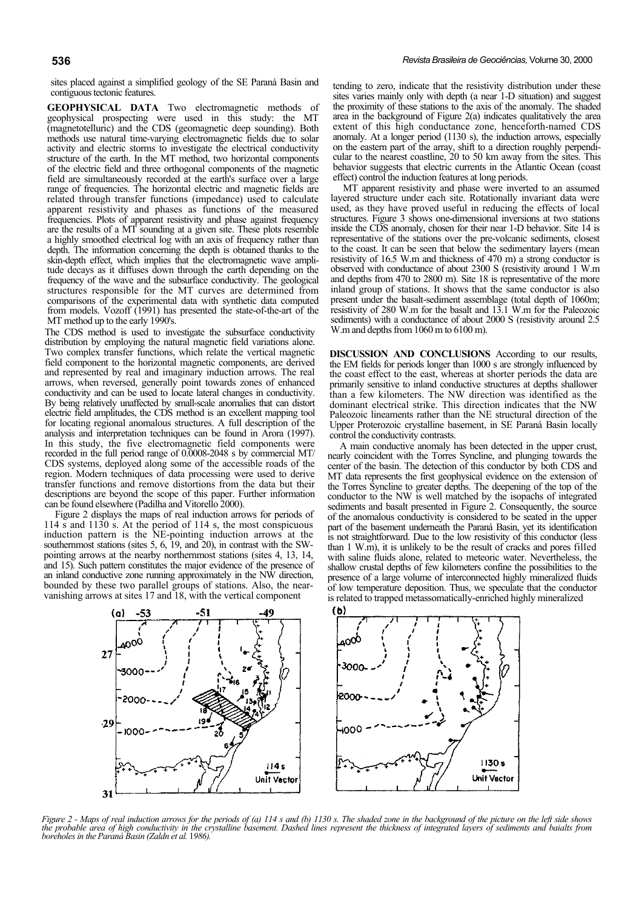sites placed against a simplified geology of the SE Paraná Basin and contiguous tectonic features.

**GEOPHYSICAL DATA** Two electromagnetic methods of geophysical prospecting were used in this study: the MT (magnetotelluric) and the CDS (geomagnetic deep sounding). Both methods use natural time-varying electromagnetic fields due to solar activity and electric storms to investigate the electrical conductivity structure of the earth. In the MT method, two horizontal components of the electric field and three orthogonal components of the magnetic field are simultaneously recorded at the earth's surface over a large range of frequencies. The horizontal electric and magnetic fields are related through transfer functions (impedance) used to calculate apparent resistivity and phases as functions of the measured frequencies. Plots of apparent resistivity and phase against frequency are the results of a MT sounding at a given site. These plots resemble a highly smoothed electrical log with an axis of frequency rather than depth. The information concerning the depth is obtained thanks to the skin-depth effect, which implies that the electromagnetic wave amplitude decays as it diffuses down through the earth depending on the frequency of the wave and the subsurface conductivity. The geological structures responsible for the MT curves are determined from comparisons of the experimental data with synthetic data computed from models. Vozoff (1991) has presented the state-of-the-art of the MT method up to the early 1990's.

The CDS method is used to investigate the subsurface conductivity distribution by employing the natural magnetic field variations alone. Two complex transfer functions, which relate the vertical magnetic field component to the horizontal magnetic components, are derived and represented by real and imaginary induction arrows. The real arrows, when reversed, generally point towards zones of enhanced conductivity and can be used to locate lateral changes in conductivity. By being relatively unaffected by small-scale anomalies that can distort electric field amplitudes, the CDS method is an excellent mapping tool for locating regional anomalous structures. A full description of the analysis and interpretation techniques can be found in Arora (1997). In this study, the five electromagnetic field components were recorded in the full period range of 0.0008-2048 s by commercial MT/ CDS systems, deployed along some of the accessible roads of the region. Modern techniques of data processing were used to derive transfer functions and remove distortions from the data but their descriptions are beyond the scope of this paper. Further information can be found elsewhere (Padilha and Vitorello 2000).

Figure 2 displays the maps of real induction arrows for periods of 114 s and 1130 s. At the period of 114 s, the most conspicuous induction pattern is the NE-pointing induction arrows at the southernmost stations (sites 5, 6, 19, and 20), in contrast with the SWpointing arrows at the nearby northernmost stations (sites 4, 13, 14, and 15). Such pattern constitutes the major evidence of the presence of an inland conductive zone running approximately in the NW direction, bounded by these two parallel groups of stations. Also, the nearvanishing arrows at sites 17 and 18, with the vertical component

tending to zero, indicate that the resistivity distribution under these sites varies mainly only with depth (a near 1-D situation) and suggest the proximity of these stations to the axis of the anomaly. The shaded area in the background of Figure 2(a) indicates qualitatively the area extent of this high conductance zone, henceforth-named CDS anomaly. At a longer period (1130 s), the induction arrows, especially on the eastern part of the array, shift to a direction roughly perpendicular to the nearest coastline, 20 to 50 km away from the sites. This behavior suggests that electric currents in the Atlantic Ocean (coast effect) control the induction features at long periods.

MT apparent resistivity and phase were inverted to an assumed layered structure under each site. Rotationally invariant data were used, as they have proved useful in reducing the effects of local structures. Figure 3 shows one-dimensional inversions at two stations inside the CDS anomaly, chosen for their near 1-D behavior. Site 14 is representative of the stations over the pre-volcanic sediments, closest to the coast. It can be seen that below the sedimentary layers (mean resistivity of 16.5 W.m and thickness of 470 m) a strong conductor is observed with conductance of about 2300 S (resistivity around 1 W.m and depths from 470 to 2800 m). Site 18 is representative of the more inland group of stations. It shows that the same conductor is also present under the basalt-sediment assemblage (total depth of 1060m; resistivity of 280 W.m for the basalt and 13.1 W.m for the Paleozoic sediments) with a conductance of about 2000 S (resistivity around 2.5 W.m and depths from 1060 m to 6100 m).

**DISCUSSION AND CONCLUSIONS** According to our results, the EM fields for periods longer than 1000 s are strongly influenced by the coast effect to the east, whereas at shorter periods the data are primarily sensitive to inland conductive structures at depths shallower than a few kilometers. The NW direction was identified as the dominant electrical strike. This direction indicates that the NW Paleozoic lineaments rather than the NE structural direction of the Upper Proterozoic crystalline basement, in SE Paraná Basin locally control the conductivity contrasts.

A main conductive anomaly has been detected in the upper crust, nearly coincident with the Torres Syncline, and plunging towards the center of the basin. The detection of this conductor by both CDS and MT data represents the first geophysical evidence on the extension of the Torres Syncline to greater depths. The deepening of the top of the conductor to the NW is well matched by the isopachs of integrated sediments and basalt presented in Figure 2. Consequently, the source of the anomalous conductivity is considered to be seated in the upper part of the basement underneath the Paraná Basin, yet its identification is not straightforward. Due to the low resistivity of this conductor (less than 1 W.m), it is unlikely to be the result of cracks and pores filled with saline fluids alone, related to meteoric water. Nevertheless, the shallow crustal depths of few kilometers confine the possibilities to the presence of a large volume of interconnected highly mineralized fluids of low temperature deposition. Thus, we speculate that the conductor is related to trapped metassomatically-enriched highly mineralized



*Figure 2 - Maps of real induction arrows for the periods of (a) 114 s and (b) 1130 s. The shaded zone in the background of the picture on the left side shows* the probable area of high conductivity in the crystalline basement. Dashed lines represent the thickness of integrated layers of sediments and baialts from<br>boreholes in the Paraná Basin (Zaldn et al. 1986).